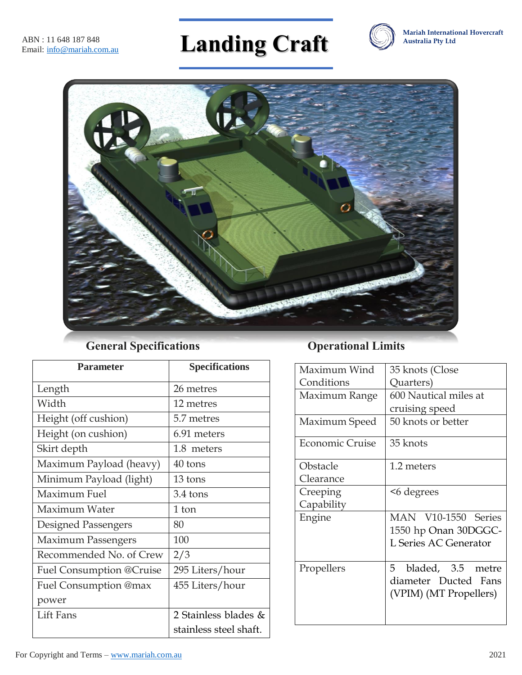# **Landing Craft**





# **General Specifications Operational Limits**

| <b>Parameter</b>          | <b>Specifications</b>  |
|---------------------------|------------------------|
| Length                    | 26 metres              |
| Width                     | 12 metres              |
| Height (off cushion)      | 5.7 metres             |
| Height (on cushion)       | 6.91 meters            |
| Skirt depth               | 1.8 meters             |
| Maximum Payload (heavy)   | 40 tons                |
| Minimum Payload (light)   | 13 tons                |
| Maximum Fuel              | 3.4 tons               |
| Maximum Water             | 1 ton                  |
| Designed Passengers       | 80                     |
| <b>Maximum Passengers</b> | 100                    |
| Recommended No. of Crew   | 2/3                    |
| Fuel Consumption @Cruise  | 295 Liters/hour        |
| Fuel Consumption @max     | 455 Liters/hour        |
| power                     |                        |
| <b>Lift Fans</b>          | 2 Stainless blades &   |
|                           | stainless steel shaft. |

| Maximum Wind    | 35 knots (Close         |
|-----------------|-------------------------|
| Conditions      | Quarters)               |
| Maximum Range   | 600 Nautical miles at   |
|                 | cruising speed          |
| Maximum Speed   | 50 knots or better      |
| Economic Cruise | 35 knots                |
| Obstacle        | 1.2 meters              |
| Clearance       |                         |
| Creeping        | <6 degrees              |
| Capability      |                         |
| Engine          | MAN V10-1550 Series     |
|                 | 1550 hp Onan 30DGGC-    |
|                 | L Series AC Generator   |
| Propellers      | bladed, 3.5 metre<br>5. |
|                 | diameter Ducted Fans    |
|                 | (VPIM) (MT Propellers)  |
|                 |                         |
|                 |                         |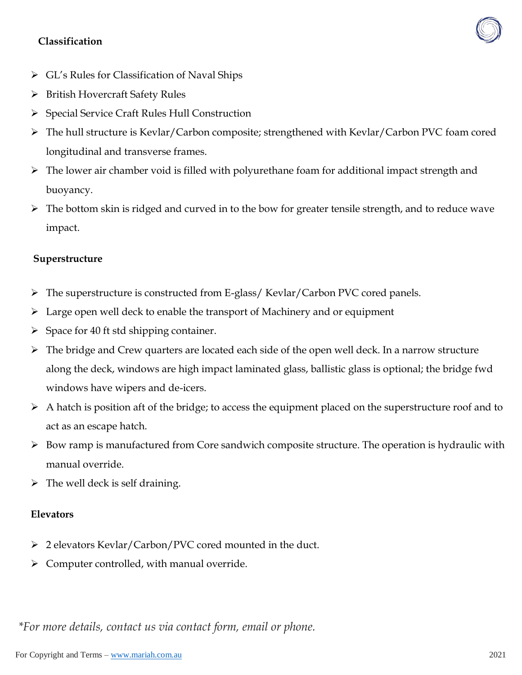### **Classification**



- GL's Rules for Classification of Naval Ships
- ▶ British Hovercraft Safety Rules
- Special Service Craft Rules Hull Construction
- The hull structure is Kevlar/Carbon composite; strengthened with Kevlar/Carbon PVC foam cored longitudinal and transverse frames.
- $\triangleright$  The lower air chamber void is filled with polyurethane foam for additional impact strength and buoyancy.
- $\triangleright$  The bottom skin is ridged and curved in to the bow for greater tensile strength, and to reduce wave impact.

#### **Superstructure**

- The superstructure is constructed from E-glass/ Kevlar/Carbon PVC cored panels.
- $\triangleright$  Large open well deck to enable the transport of Machinery and or equipment
- $\triangleright$  Space for 40 ft std shipping container.
- The bridge and Crew quarters are located each side of the open well deck. In a narrow structure along the deck, windows are high impact laminated glass, ballistic glass is optional; the bridge fwd windows have wipers and de-icers.
- $\triangleright$  A hatch is position aft of the bridge; to access the equipment placed on the superstructure roof and to act as an escape hatch.
- $\triangleright$  Bow ramp is manufactured from Core sandwich composite structure. The operation is hydraulic with manual override.
- $\triangleright$  The well deck is self draining.

#### **Elevators**

- 2 elevators Kevlar/Carbon/PVC cored mounted in the duct.
- $\triangleright$  Computer controlled, with manual override.

*\*For more details, contact us via contact form, email or phone.*